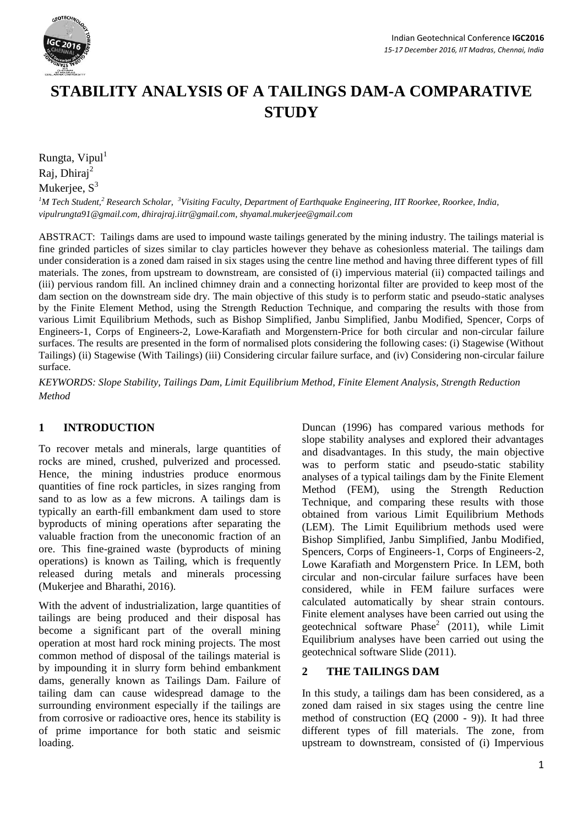

# **STABILITY ANALYSIS OF A TAILINGS DAM-A COMPARATIVE STUDY**

Rungta, Vipul<sup>1</sup> Raj, Dhiraj<sup>2</sup> Mukeriee,  $S<sup>3</sup>$ 

*<sup>1</sup>M Tech Student,<sup>2</sup> Research Scholar, <sup>3</sup>Visiting Faculty, Department of Earthquake Engineering, IIT Roorkee, Roorkee, India, [vipulrungta91@gmail.com,](mailto:vipulrungta91@gmail.com) [dhirajraj.iitr@gmail.com,](mailto:dhirajraj.iitr@gmail.com) [shyamal.mukerjee@gmail.com](mailto:shyamal.mukerjee@gmail.com)*

ABSTRACT: Tailings dams are used to impound waste tailings generated by the mining industry. The tailings material is fine grinded particles of sizes similar to clay particles however they behave as cohesionless material. The tailings dam under consideration is a zoned dam raised in six stages using the centre line method and having three different types of fill materials. The zones, from upstream to downstream, are consisted of (i) impervious material (ii) compacted tailings and (iii) pervious random fill. An inclined chimney drain and a connecting horizontal filter are provided to keep most of the dam section on the downstream side dry. The main objective of this study is to perform static and pseudo-static analyses by the Finite Element Method, using the Strength Reduction Technique, and comparing the results with those from various Limit Equilibrium Methods, such as Bishop Simplified, Janbu Simplified, Janbu Modified, Spencer, Corps of Engineers-1, Corps of Engineers-2, Lowe-Karafiath and Morgenstern-Price for both circular and non-circular failure surfaces. The results are presented in the form of normalised plots considering the following cases: (i) Stagewise (Without Tailings) (ii) Stagewise (With Tailings) (iii) Considering circular failure surface, and (iv) Considering non-circular failure surface.

*KEYWORDS: Slope Stability, Tailings Dam, Limit Equilibrium Method, Finite Element Analysis, Strength Reduction Method* 

# **1 INTRODUCTION**

To recover metals and minerals, large quantities of rocks are mined, crushed, pulverized and processed. Hence, the mining industries produce enormous quantities of fine rock particles, in sizes ranging from sand to as low as a few microns. A tailings dam is typically an earth-fill embankment dam used to store byproducts of mining operations after separating the valuable fraction from the uneconomic fraction of an ore. This fine-grained waste (byproducts of mining operations) is known as Tailing, which is frequently released during metals and minerals processing (Mukerjee and Bharathi, 2016).

With the advent of industrialization, large quantities of tailings are being produced and their disposal has become a significant part of the overall mining operation at most hard rock mining projects. The most common method of disposal of the tailings material is by impounding it in slurry form behind embankment dams, generally known as Tailings Dam. Failure of tailing dam can cause widespread damage to the surrounding environment especially if the tailings are from corrosive or radioactive ores, hence its stability is of prime importance for both static and seismic loading.

Duncan (1996) has compared various methods for slope stability analyses and explored their advantages and disadvantages. In this study, the main objective was to perform static and pseudo-static stability analyses of a typical tailings dam by the Finite Element Method (FEM), using the Strength Reduction Technique, and comparing these results with those obtained from various Limit Equilibrium Methods (LEM). The Limit Equilibrium methods used were Bishop Simplified, Janbu Simplified, Janbu Modified, Spencers, Corps of Engineers-1, Corps of Engineers-2, Lowe Karafiath and Morgenstern Price. In LEM, both circular and non-circular failure surfaces have been considered, while in FEM failure surfaces were calculated automatically by shear strain contours. Finite element analyses have been carried out using the geotechnical software  $Phase<sup>2</sup>$  (2011), while Limit Equilibrium analyses have been carried out using the geotechnical software Slide (2011).

## **2 THE TAILINGS DAM**

In this study, a tailings dam has been considered, as a zoned dam raised in six stages using the centre line method of construction (EQ (2000 - 9)). It had three different types of fill materials. The zone, from upstream to downstream, consisted of (i) Impervious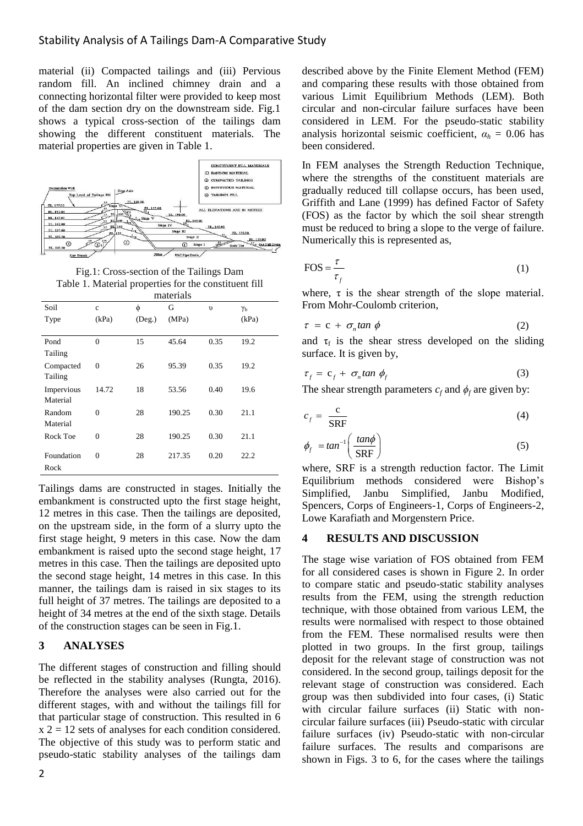material (ii) Compacted tailings and (iii) Pervious random fill. An inclined chimney drain and a connecting horizontal filter were provided to keep most of the dam section dry on the downstream side. Fig.1 shows a typical cross-section of the tailings dam showing the different constituent materials. The material properties are given in Table 1.



Fig.1: Cross-section of the Tailings Dam Table 1. Material properties for the constituent fill

|            | materials      |              |        |            |                  |
|------------|----------------|--------------|--------|------------|------------------|
| Soil       | $\ddot{c}$     | φ            | G      | $\upsilon$ | $\gamma_{\rm b}$ |
| Type       | (kPa)          | $($ Deg. $)$ | (MPa)  |            | (kPa)            |
|            |                |              |        |            |                  |
| Pond       | $\Omega$       | 15           | 45.64  | 0.35       | 19.2             |
| Tailing    |                |              |        |            |                  |
| Compacted  | $\Omega$       | 26           | 95.39  | 0.35       | 19.2             |
| Tailing    |                |              |        |            |                  |
| Impervious | 14.72          | 18           | 53.56  | 0.40       | 19.6             |
| Material   |                |              |        |            |                  |
| Random     | $\mathbf{0}$   | 28           | 190.25 | 0.30       | 21.1             |
| Material   |                |              |        |            |                  |
| Rock Toe   | $\theta$       | 28           | 190.25 | 0.30       | 21.1             |
|            |                |              |        |            |                  |
| Foundation | $\overline{0}$ | 28           | 217.35 | 0.20       | 22.2             |
| Rock       |                |              |        |            |                  |

Tailings dams are constructed in stages. Initially the embankment is constructed upto the first stage height, 12 metres in this case. Then the tailings are deposited, on the upstream side, in the form of a slurry upto the first stage height, 9 meters in this case. Now the dam embankment is raised upto the second stage height, 17 metres in this case. Then the tailings are deposited upto the second stage height, 14 metres in this case. In this manner, the tailings dam is raised in six stages to its full height of 37 metres. The tailings are deposited to a height of 34 metres at the end of the sixth stage. Details of the construction stages can be seen in Fig.1.

## **3 ANALYSES**

The different stages of construction and filling should be reflected in the stability analyses (Rungta, 2016). Therefore the analyses were also carried out for the different stages, with and without the tailings fill for that particular stage of construction. This resulted in 6  $x 2 = 12$  sets of analyses for each condition considered. The objective of this study was to perform static and pseudo-static stability analyses of the tailings dam

In FEM analyses the Strength Reduction Technique, where the strengths of the constituent materials are gradually reduced till collapse occurs, has been used, Griffith and Lane (1999) has defined Factor of Safety (FOS) as the factor by which the soil shear strength must be reduced to bring a slope to the verge of failure. Numerically this is represented as,

$$
FOS = \frac{\tau}{\tau_f} \tag{1}
$$

where,  $\tau$  is the shear strength of the slope material. From Mohr-Coulomb criterion,

$$
\tau = c + \sigma_n \tan \phi \tag{2}
$$

and  $\tau_f$  is the shear stress developed on the sliding surface. It is given by,

$$
\tau_f = c_f + \sigma_n \tan \phi_f \tag{3}
$$

The shear strength parameters  $c_f$  and  $\phi_f$  are given by:

$$
c_f = \frac{c}{SRF} \tag{4}
$$

$$
\phi_f = \tan^{-1}\left(\frac{\tan\phi}{\text{SRF}}\right) \tag{5}
$$

where, SRF is a strength reduction factor. The Limit Equilibrium methods considered were Bishop's Simplified, Janbu Simplified, Janbu Modified, Spencers, Corps of Engineers-1, Corps of Engineers-2, Lowe Karafiath and Morgenstern Price.

#### **4 RESULTS AND DISCUSSION**

The stage wise variation of FOS obtained from FEM for all considered cases is shown in Figure 2. In order to compare static and pseudo-static stability analyses results from the FEM, using the strength reduction technique, with those obtained from various LEM, the results were normalised with respect to those obtained from the FEM. These normalised results were then plotted in two groups. In the first group, tailings deposit for the relevant stage of construction was not considered. In the second group, tailings deposit for the relevant stage of construction was considered. Each group was then subdivided into four cases, (i) Static with circular failure surfaces (ii) Static with noncircular failure surfaces (iii) Pseudo-static with circular failure surfaces (iv) Pseudo-static with non-circular failure surfaces. The results and comparisons are shown in Figs. 3 to 6, for the cases where the tailings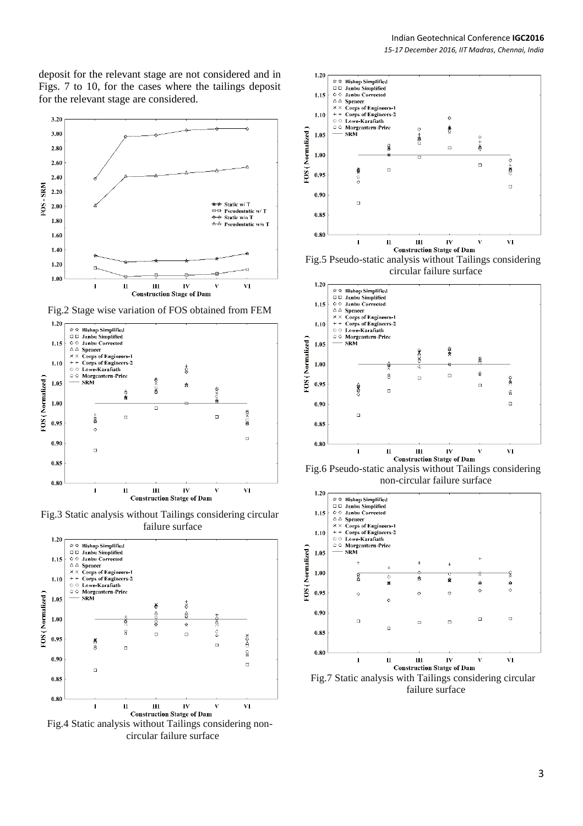deposit for the relevant stage are not considered and in Figs. 7 to 10, for the cases where the tailings deposit for the relevant stage are considered.



Fig.2 Stage wise variation of FOS obtained from FEM



Fig.3 Static analysis without Tailings considering circular failure surface



Fig.4 Static analysis without Tailings considering noncircular failure surface



circular failure surface



Fig.6 Pseudo-static analysis without Tailings considering non-circular failure surface



failure surface